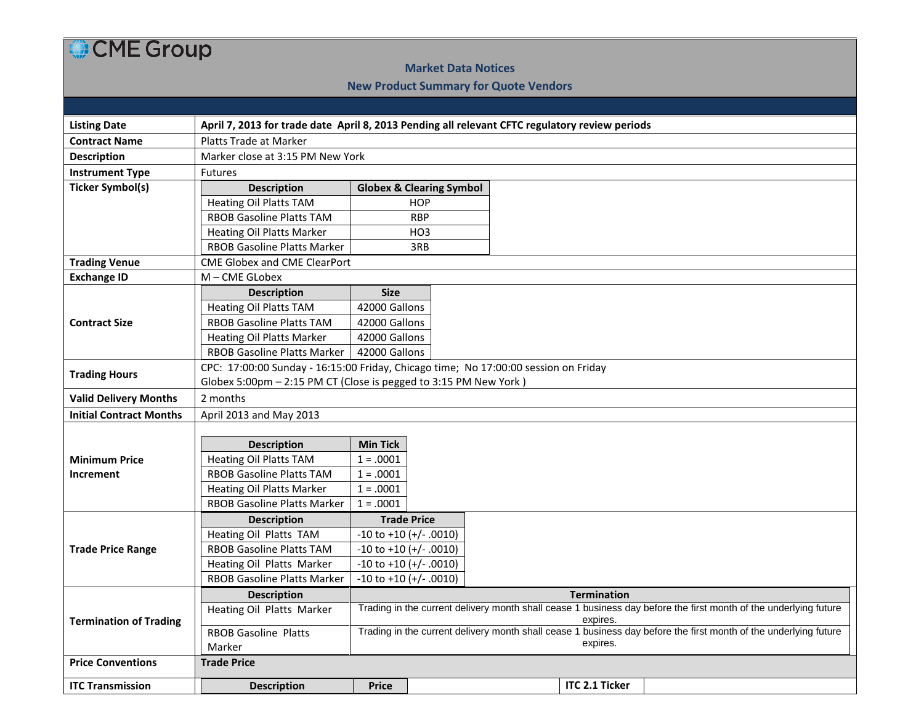## CME Group

## **Market Data Notices**

## **New Product Summary for Quote Vendors**

| <b>Listing Date</b>            | April 7, 2013 for trade date April 8, 2013 Pending all relevant CFTC regulatory review periods |                                                                                                                                        |                               |  |                       |  |  |  |  |  |  |
|--------------------------------|------------------------------------------------------------------------------------------------|----------------------------------------------------------------------------------------------------------------------------------------|-------------------------------|--|-----------------------|--|--|--|--|--|--|
| <b>Contract Name</b>           | Platts Trade at Marker                                                                         |                                                                                                                                        |                               |  |                       |  |  |  |  |  |  |
| <b>Description</b>             | Marker close at 3:15 PM New York                                                               |                                                                                                                                        |                               |  |                       |  |  |  |  |  |  |
| <b>Instrument Type</b>         | Futures                                                                                        |                                                                                                                                        |                               |  |                       |  |  |  |  |  |  |
| <b>Ticker Symbol(s)</b>        | <b>Description</b>                                                                             | <b>Globex &amp; Clearing Symbol</b>                                                                                                    |                               |  |                       |  |  |  |  |  |  |
|                                | <b>Heating Oil Platts TAM</b>                                                                  |                                                                                                                                        | <b>HOP</b>                    |  |                       |  |  |  |  |  |  |
|                                | <b>RBOB Gasoline Platts TAM</b>                                                                |                                                                                                                                        | <b>RBP</b>                    |  |                       |  |  |  |  |  |  |
|                                | <b>Heating Oil Platts Marker</b>                                                               |                                                                                                                                        | HO <sub>3</sub>               |  |                       |  |  |  |  |  |  |
|                                | RBOB Gasoline Platts Marker                                                                    |                                                                                                                                        | 3RB                           |  |                       |  |  |  |  |  |  |
| <b>Trading Venue</b>           | <b>CME Globex and CME ClearPort</b>                                                            |                                                                                                                                        |                               |  |                       |  |  |  |  |  |  |
| <b>Exchange ID</b>             | M - CME GLobex                                                                                 |                                                                                                                                        |                               |  |                       |  |  |  |  |  |  |
| <b>Contract Size</b>           | <b>Description</b>                                                                             | <b>Size</b>                                                                                                                            |                               |  |                       |  |  |  |  |  |  |
|                                | <b>Heating Oil Platts TAM</b>                                                                  | 42000 Gallons                                                                                                                          |                               |  |                       |  |  |  |  |  |  |
|                                | <b>RBOB Gasoline Platts TAM</b>                                                                | 42000 Gallons                                                                                                                          |                               |  |                       |  |  |  |  |  |  |
|                                | <b>Heating Oil Platts Marker</b>                                                               | 42000 Gallons                                                                                                                          |                               |  |                       |  |  |  |  |  |  |
|                                | RBOB Gasoline Platts Marker                                                                    | 42000 Gallons                                                                                                                          |                               |  |                       |  |  |  |  |  |  |
| <b>Trading Hours</b>           | CPC: 17:00:00 Sunday - 16:15:00 Friday, Chicago time; No 17:00:00 session on Friday            |                                                                                                                                        |                               |  |                       |  |  |  |  |  |  |
|                                | Globex 5:00pm - 2:15 PM CT (Close is pegged to 3:15 PM New York)                               |                                                                                                                                        |                               |  |                       |  |  |  |  |  |  |
| <b>Valid Delivery Months</b>   | 2 months                                                                                       |                                                                                                                                        |                               |  |                       |  |  |  |  |  |  |
| <b>Initial Contract Months</b> | April 2013 and May 2013                                                                        |                                                                                                                                        |                               |  |                       |  |  |  |  |  |  |
|                                |                                                                                                |                                                                                                                                        |                               |  |                       |  |  |  |  |  |  |
|                                | <b>Description</b>                                                                             | <b>Min Tick</b>                                                                                                                        |                               |  |                       |  |  |  |  |  |  |
| <b>Minimum Price</b>           | <b>Heating Oil Platts TAM</b>                                                                  | $1 = .0001$                                                                                                                            |                               |  |                       |  |  |  |  |  |  |
| Increment                      | <b>RBOB Gasoline Platts TAM</b>                                                                | $1 = .0001$                                                                                                                            |                               |  |                       |  |  |  |  |  |  |
|                                | <b>Heating Oil Platts Marker</b>                                                               | $1 = .0001$                                                                                                                            |                               |  |                       |  |  |  |  |  |  |
|                                | RBOB Gasoline Platts Marker                                                                    | $1 = .0001$                                                                                                                            |                               |  |                       |  |  |  |  |  |  |
| <b>Trade Price Range</b>       | <b>Description</b>                                                                             |                                                                                                                                        | <b>Trade Price</b>            |  |                       |  |  |  |  |  |  |
|                                | Heating Oil Platts TAM                                                                         |                                                                                                                                        | $-10$ to $+10$ ( $+/-.0010$ ) |  |                       |  |  |  |  |  |  |
|                                | <b>RBOB Gasoline Platts TAM</b>                                                                |                                                                                                                                        | $-10$ to $+10$ ( $+/-.0010$ ) |  |                       |  |  |  |  |  |  |
|                                | Heating Oil Platts Marker<br>RBOB Gasoline Platts Marker                                       |                                                                                                                                        | $-10$ to $+10$ ( $+/-.0010$ ) |  |                       |  |  |  |  |  |  |
|                                |                                                                                                |                                                                                                                                        | $-10$ to $+10$ ( $+/-.0010$ ) |  |                       |  |  |  |  |  |  |
| <b>Termination of Trading</b>  | <b>Description</b>                                                                             | <b>Termination</b><br>Trading in the current delivery month shall cease 1 business day before the first month of the underlying future |                               |  |                       |  |  |  |  |  |  |
|                                | Heating Oil Platts Marker                                                                      | expires.                                                                                                                               |                               |  |                       |  |  |  |  |  |  |
|                                | <b>RBOB Gasoline Platts</b>                                                                    | Trading in the current delivery month shall cease 1 business day before the first month of the underlying future                       |                               |  |                       |  |  |  |  |  |  |
|                                | Marker                                                                                         | expires.                                                                                                                               |                               |  |                       |  |  |  |  |  |  |
| <b>Price Conventions</b>       | <b>Trade Price</b>                                                                             |                                                                                                                                        |                               |  |                       |  |  |  |  |  |  |
| <b>ITC Transmission</b>        | <b>Description</b>                                                                             | <b>Price</b>                                                                                                                           |                               |  | <b>ITC 2.1 Ticker</b> |  |  |  |  |  |  |